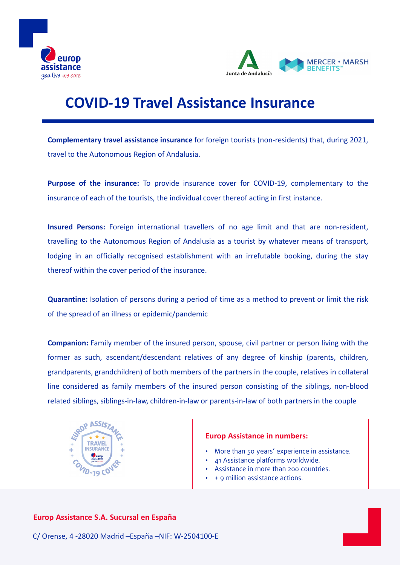



# **COVID-19 Travel Assistance Insurance**

**Complementary travel assistance insurance** for foreign tourists (non-residents) that, during 2021, travel to the Autonomous Region of Andalusia.

**Purpose of the insurance:** To provide insurance cover for COVID-19, complementary to the insurance of each of the tourists, the individual cover thereof acting in first instance.

**Insured Persons:** Foreign international travellers of no age limit and that are non-resident, travelling to the Autonomous Region of Andalusia as a tourist by whatever means of transport, lodging in an officially recognised establishment with an irrefutable booking, during the stay thereof within the cover period of the insurance.

**Quarantine:** Isolation of persons during a period of time as a method to prevent or limit the risk of the spread of an illness or epidemic/pandemic

**Companion:** Family member of the insured person, spouse, civil partner or person living with the former as such, ascendant/descendant relatives of any degree of kinship (parents, children, grandparents, grandchildren) of both members of the partners in the couple, relatives in collateral line considered as family members of the insured person consisting of the siblings, non-blood related siblings, siblings-in-law, children-in-law or parents-in-law of both partners in the couple



#### **Europ Assistance in numbers:**

- More than 50 years' experience in assistance.
- 41 Assistance platforms worldwide.
- Assistance in more than 200 countries.
- + 9 million assistance actions.

### **Europ Assistance S.A. Sucursal en España**

C/ Orense, 4 -28020 Madrid –España –NIF: W-2504100-E